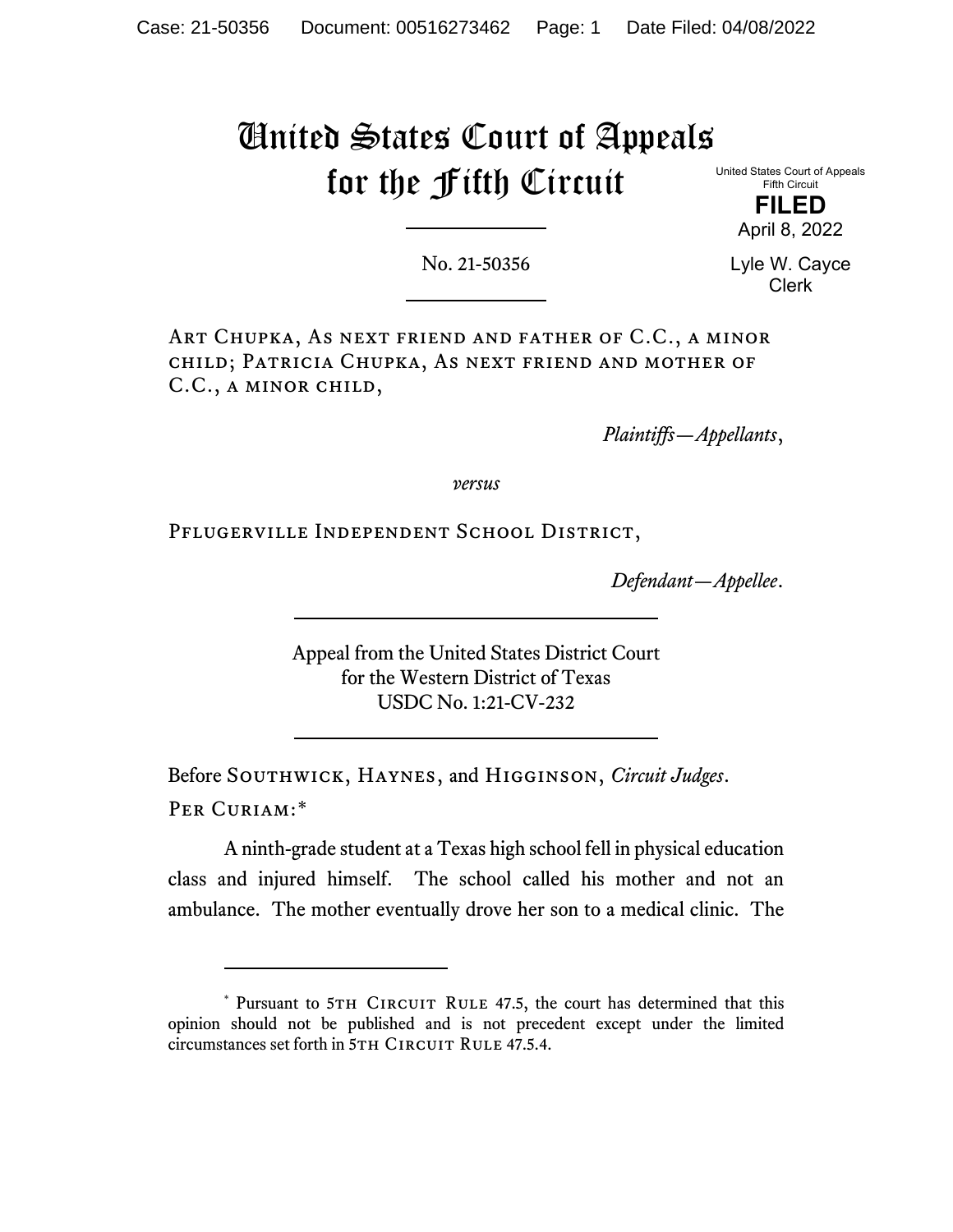# United States Court of Appeals for the Fifth Circuit

United States Court of Appeals Fifth Circuit

> **FILED** April 8, 2022

No. 21-50356

Lyle W. Cayce Clerk

Art Chupka, As next friend and father of C.C., a minor child; Patricia Chupka, As next friend and mother of C.C., a minor child,

*Plaintiffs—Appellants*,

*versus*

Pflugerville Independent School District,

*Defendant—Appellee*.

Appeal from the United States District Court for the Western District of Texas USDC No. 1:21-CV-232

Before Southwick, Haynes, and Higginson, *Circuit Judges*. Per Curiam:[\\*](#page-0-0)

A ninth-grade student at a Texas high school fell in physical education class and injured himself. The school called his mother and not an ambulance. The mother eventually drove her son to a medical clinic. The

<span id="page-0-0"></span><sup>\*</sup> Pursuant to 5TH CIRCUIT RULE 47.5, the court has determined that this opinion should not be published and is not precedent except under the limited circumstances set forth in 5TH CIRCUIT RULE 47.5.4.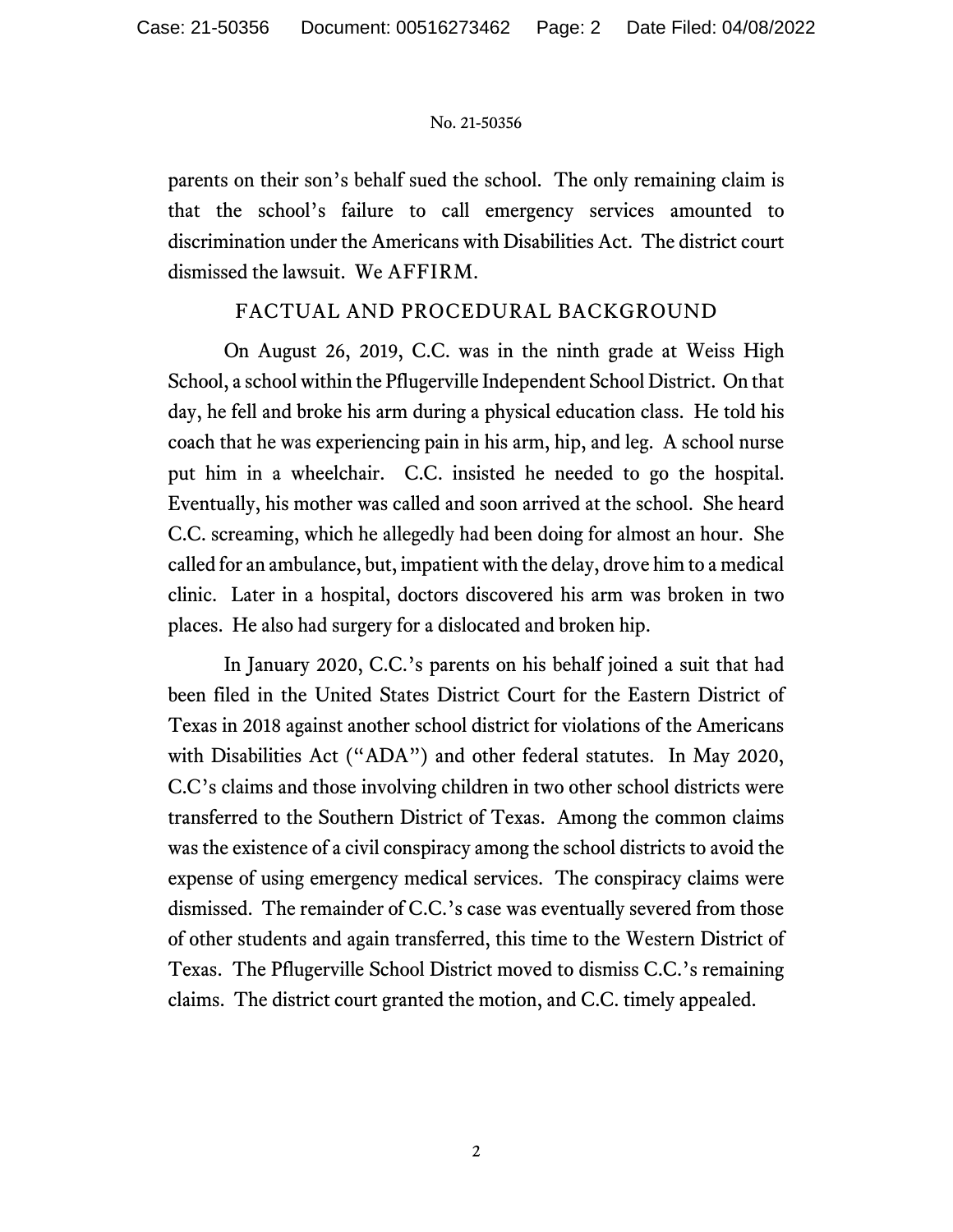#### No. 21-50356

parents on their son's behalf sued the school. The only remaining claim is that the school's failure to call emergency services amounted to discrimination under the Americans with Disabilities Act. The district court dismissed the lawsuit. We AFFIRM.

## FACTUAL AND PROCEDURAL BACKGROUND

On August 26, 2019, C.C. was in the ninth grade at Weiss High School, a school within the Pflugerville Independent School District. On that day, he fell and broke his arm during a physical education class. He told his coach that he was experiencing pain in his arm, hip, and leg. A school nurse put him in a wheelchair. C.C. insisted he needed to go the hospital. Eventually, his mother was called and soon arrived at the school. She heard C.C. screaming, which he allegedly had been doing for almost an hour. She called for an ambulance, but, impatient with the delay, drove him to a medical clinic. Later in a hospital, doctors discovered his arm was broken in two places. He also had surgery for a dislocated and broken hip.

In January 2020, C.C.'s parents on his behalf joined a suit that had been filed in the United States District Court for the Eastern District of Texas in 2018 against another school district for violations of the Americans with Disabilities Act ("ADA") and other federal statutes. In May 2020, C.C's claims and those involving children in two other school districts were transferred to the Southern District of Texas. Among the common claims was the existence of a civil conspiracy among the school districts to avoid the expense of using emergency medical services. The conspiracy claims were dismissed. The remainder of C.C.'s case was eventually severed from those of other students and again transferred, this time to the Western District of Texas. The Pflugerville School District moved to dismiss C.C.'s remaining claims. The district court granted the motion, and C.C. timely appealed.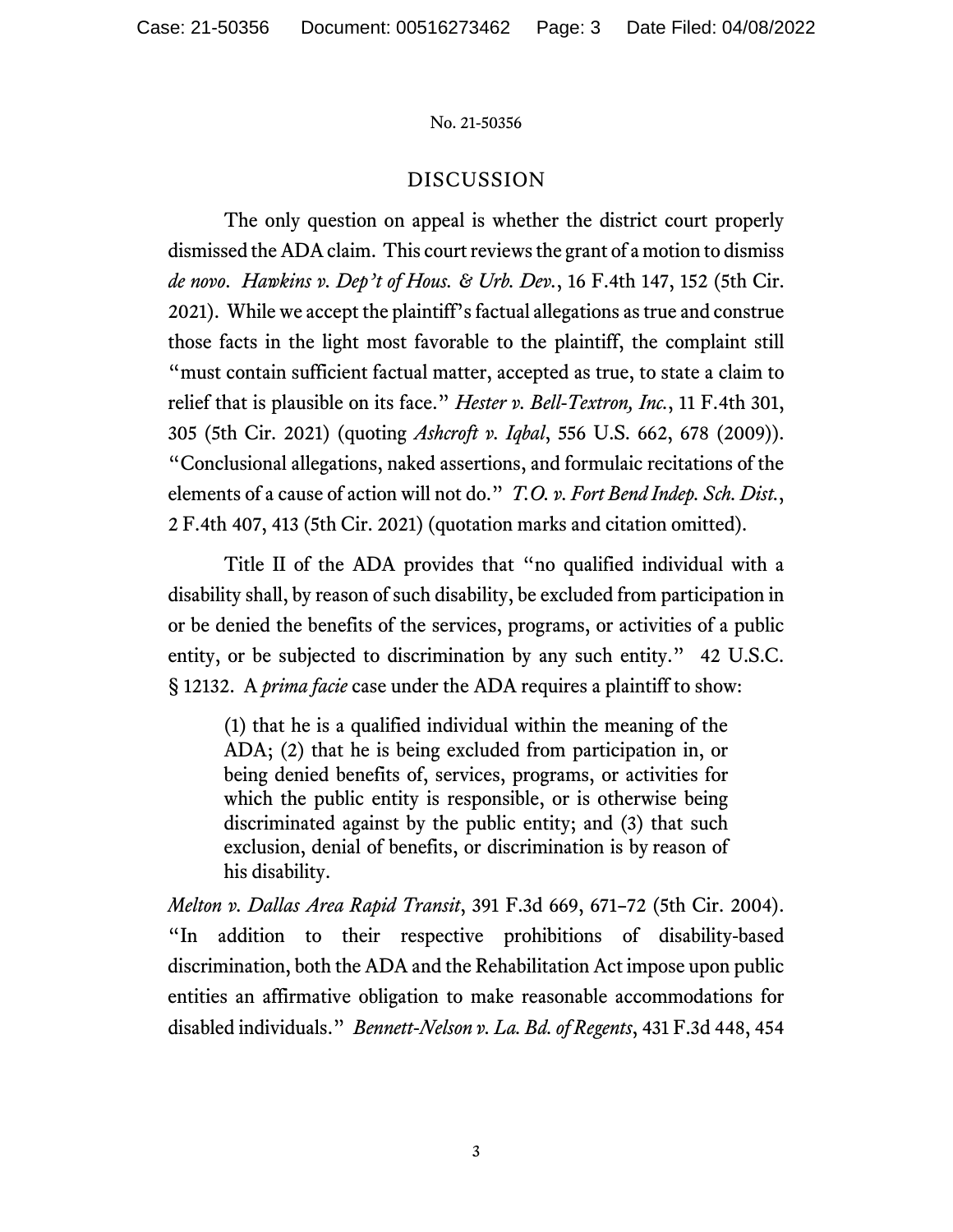#### No. 21-50356

## DISCUSSION

The only question on appeal is whether the district court properly dismissed the ADA claim. This court reviews the grant of a motion to dismiss *de novo*. *Hawkins v. Dep't of Hous. & Urb. Dev.*, 16 F.4th 147, 152 (5th Cir. 2021). While we accept the plaintiff's factual allegations as true and construe those facts in the light most favorable to the plaintiff, the complaint still "must contain sufficient factual matter, accepted as true, to state a claim to relief that is plausible on its face." *Hester v. Bell-Textron, Inc.*, 11 F.4th 301, 305 (5th Cir. 2021) (quoting *Ashcroft v. Iqbal*, 556 U.S. 662, 678 (2009)). "Conclusional allegations, naked assertions, and formulaic recitations of the elements of a cause of action will not do." *T.O. v. Fort Bend Indep. Sch. Dist.*, 2 F.4th 407, 413 (5th Cir. 2021) (quotation marks and citation omitted).

Title II of the ADA provides that "no qualified individual with a disability shall, by reason of such disability, be excluded from participation in or be denied the benefits of the services, programs, or activities of a public entity, or be subjected to discrimination by any such entity." 42 U.S.C. § 12132. A *prima facie* case under the ADA requires a plaintiff to show:

(1) that he is a qualified individual within the meaning of the ADA; (2) that he is being excluded from participation in, or being denied benefits of, services, programs, or activities for which the public entity is responsible, or is otherwise being discriminated against by the public entity; and (3) that such exclusion, denial of benefits, or discrimination is by reason of his disability.

*Melton v. Dallas Area Rapid Transit*, 391 F.3d 669, 671–72 (5th Cir. 2004). "In addition to their respective prohibitions of disability-based discrimination, both the ADA and the Rehabilitation Act impose upon public entities an affirmative obligation to make reasonable accommodations for disabled individuals." *Bennett-Nelson v. La. Bd. of Regents*, 431 F.3d 448, 454